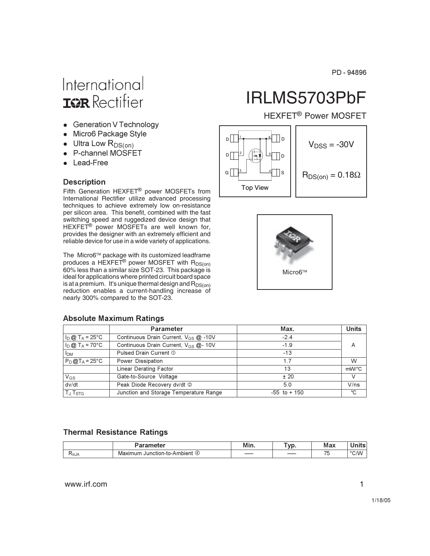PD-94896

# International **ISR** Rectifier

- Generation V Technology
- Micro6 Package Style
- $\bullet$  Ultra Low  $R_{DS(0n)}$
- P-channel MOSFET
- Lead-Free

#### **Description**

Fifth Generation HEXFET® power MOSFETs from International Rectifier utilize advanced processing techniques to achieve extremely low on-resistance per silicon area. This benefit, combined with the fast switching speed and ruggedized device design that HEXFET<sup>®</sup> power MOSFETs are well known for, provides the designer with an extremely efficient and reliable device for use in a wide variety of applications.

The Micro6™ package with its customized leadframe produces a HEXFET<sup>®</sup> power MOSFET with R<sub>DS(on)</sub> 60% less than a similar size SOT-23. This package is ideal for applications where printed circuit board space is at a premium. It's unique thermal design and  $R_{DS(on)}$ reduction enables a current-handling increase of nearly 300% compared to the SOT-23.

# IRLMS5703PbF

**HEXFET<sup>®</sup> Power MOSFET** 





|                                                | <b>Parameter</b>                                  | Max.            | <b>Units</b> |
|------------------------------------------------|---------------------------------------------------|-----------------|--------------|
| $I_{\text{D}}@T_{\text{A}}=25^{\circ}\text{C}$ | Continuous Drain Current, $V_{GS}$ $\omega$ -10V  | $-2.4$          |              |
| $I_D @ T_A = 70^{\circ}C$                      | Continuous Drain Current, $V_{GS}$ $\omega$ - 10V | $-1.9$          | А            |
| <b>I<sub>DM</sub></b>                          | Pulsed Drain Current 1                            | $-13$           |              |
| $P_D @ T_A = 25°C$                             | Power Dissipation                                 | 1.7             | W            |
|                                                | Linear Derating Factor                            | 13              | mW/°C        |
| $V_{GS}$                                       | Gate-to-Source Voltage                            | ± 20            |              |
| dv/dt                                          | Peak Diode Recovery dv/dt 2                       | 5.0             | V/ns         |
| $T_{J}$ , $T_{STG}$                            | Junction and Storage Temperature Range            | $-55$ to $+150$ | °C           |

#### **Absolute Maximum Ratings**

#### **Thermal Resistance Ratings**

|      | aramatar                                     | $\cdot$<br>Min. | <b>vr</b><br>v M | Max                      |      |
|------|----------------------------------------------|-----------------|------------------|--------------------------|------|
| NθJΑ | Maxi.<br>Junction-to-Ambient_<br>axımum<br>G | ___             |                  | $\overline{\phantom{a}}$ | °C/W |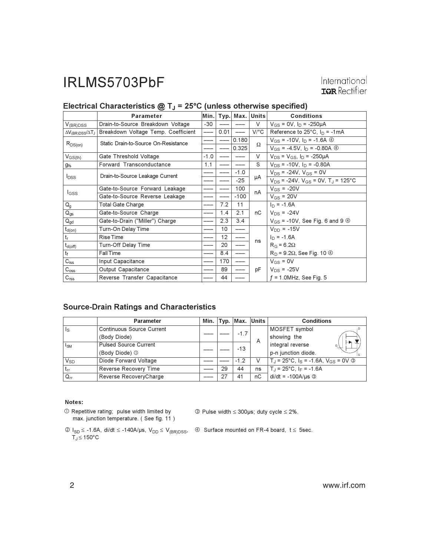International **IGR** Rectifier

|                                     | Parameter                            | $M$ in. |      |        | Typ.   Max.   Units  | <b>Conditions</b>                                      |
|-------------------------------------|--------------------------------------|---------|------|--------|----------------------|--------------------------------------------------------|
| $V_{(BR)DSS}$                       | Drain-to-Source Breakdown Voltage    | -30     |      |        | V                    | $V_{GS}$ = 0V, $I_D$ = -250µA                          |
| $\Delta V_{\rm (BR)DSS}/\Delta T_J$ | Breakdown Voltage Temp. Coefficient  |         | 0.01 |        | $V$ <sup>o</sup> $C$ | Reference to $25^{\circ}$ C, $I_{D}$ = -1 mA           |
| $R_{DS(on)}$                        | Static Drain-to-Source On-Resistance |         |      | 0.180  | Ω                    | $V_{GS}$ = -10V, $I_D$ = -1.6A $\circledA$             |
|                                     |                                      |         |      | 0.325  |                      | $V_{GS}$ = -4.5V, $I_D$ = -0.80A $\circledA$           |
| $V_{GS(th)}$                        | Gate Threshold Voltage               | $-1.0$  |      |        | $\vee$               | $V_{DS} = V_{GS}$ , $I_D = -250 \mu A$                 |
| $g_{fs}$                            | Forward Transconductance             | 1.1     |      |        | S                    | $V_{DS}$ = -10V, $I_D$ = -0.80A                        |
|                                     | Drain-to-Source Leakage Current      |         |      | $-1.0$ |                      | $V_{DS}$ = -24V, $V_{GS}$ = 0V                         |
| <b>I</b> <sub>DSS</sub>             |                                      |         |      | $-25$  | μA                   | $V_{DS}$ = -24V, $V_{GS}$ = 0V, T <sub>J</sub> = 125°C |
| $I_{GSS}$                           | Gate-to-Source Forward Leakage       |         |      | 100    | nA                   | $V_{GS}$ = -20V                                        |
|                                     | Gate-to-Source Reverse Leakage       |         |      | $-100$ |                      | $V_{GS}$ = 20V                                         |
| $Q_g$                               | Total Gate Charge                    |         | 7.2  | 11     |                      | $I_D = -1.6A$                                          |
| $Q_{gs}$                            | Gate-to-Source Charge                |         | 1.4  | 2.1    | nС                   | $V_{DS} = -24V$                                        |
| $Q_{gd}$                            | Gate-to-Drain ("Miller") Charge      |         | 2.3  | 3.4    |                      | $V_{GS}$ = -10V, See Fig. 6 and 9 $\circled{4}$        |
| t <sub>d(on)</sub>                  | Turn-On Delay Time                   |         | 10   |        |                      | $V_{DD} = -15V$                                        |
| $t_{r}$                             | <b>Rise Time</b>                     |         | 12   |        | ns                   | $I_D = -1.6A$                                          |
| $t_{d(off)}$                        | Turn-Off Delay Time                  |         | 20   |        |                      | $R_G = 6.2\Omega$                                      |
| $t_f$                               | <b>Fall Time</b>                     |         | 8.4  |        |                      | $R_D$ = 9.2 $\Omega$ , See Fig. 10 $\Phi$              |
| $\overline{C_{\text{iss}}}$         | Input Capacitance                    |         | 170  |        |                      | $V_{GS} = 0V$                                          |
| C <sub>oss</sub>                    | Output Capacitance                   |         | 89   |        | рF                   | $V_{DS}$ = -25V                                        |
| $C_{\text{rss}}$                    | Reverse Transfer Capacitance         |         | 44   |        |                      | $f = 1.0$ MHz, See Fig. 5                              |

### Electrical Characteristics  $@T_J = 25°C$  (unless otherwise specified)

#### **Source-Drain Ratings and Characteristics**

|                         | <b>Parameter</b>                 |  |        |        | Min.   Typ.   Max.   Units | <b>Conditions</b>                                     |
|-------------------------|----------------------------------|--|--------|--------|----------------------------|-------------------------------------------------------|
| $\mathsf{I}_\mathsf{S}$ | <b>Continuous Source Current</b> |  |        |        |                            | MOSFET symbol                                         |
|                         | (Body Diode)                     |  | $-1.7$ | A      | showing the                |                                                       |
| $I_{SM}$                | <b>Pulsed Source Current</b>     |  |        | $-13$  |                            | integral reverse<br>G                                 |
|                         | (Body Diode) 1                   |  |        |        |                            | p-n junction diode.                                   |
| $V_{SD}$                | Diode Forward Voltage            |  |        | $-1.2$ | V                          | $T_1 = 25^{\circ}C$ , $I_S = -1.6A$ , $V_{GS} = 0V$ © |
| $t_{rr}$                | Reverse Recovery Time            |  | 29     | 44     | ns                         | $T_{\rm J}$ = 25°C, I <sub>F</sub> = -1.6A            |
| $Q_{rr}$                | Reverse RecoveryCharge           |  | 27     | 41     | nC                         | $di/dt = -100A/\mu s$ 3                               |

#### Notes:

- 1 Repetitive rating; pulse width limited by<br>max. junction temperature. (See fig. 11)
- $\circled{ }$  Pulse width  $\leq$  300µs; duty cycle  $\leq$  2%.
- $\textcircled{1}_{SD}$   $\leq$  -1.6A, di/dt  $\leq$  -140A/µs,  $V_{DD} \leq V_{(BR)DSS}$ ,  $\textcircled{4}$  Surface mounted on FR-4 board,  $t \leq$  5sec.<br>  $T_J \leq 150^{\circ}$ C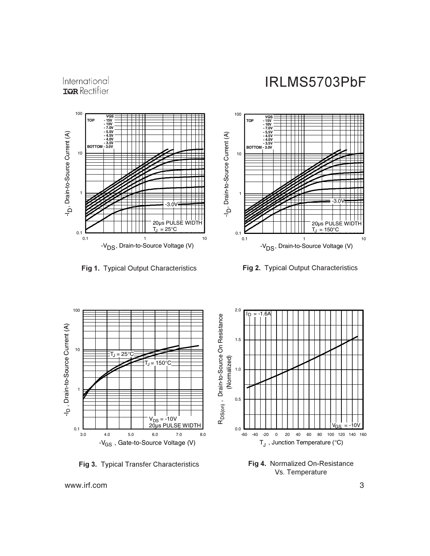

 $0.1$  0.1

D



0.1 1 10

-V<sub>DS</sub>, Drain-to-Source Voltage (V)

 20µs PULSE WIDTH  $T_J = 25^{\circ}C$ 

 $-3.0V$ 



g 2. Typical Output Characteristics



**Fig 3.** Typical Transfer Characteristics **Figure 12** Fig 4. Normalized On-Resistance Vs. Temperature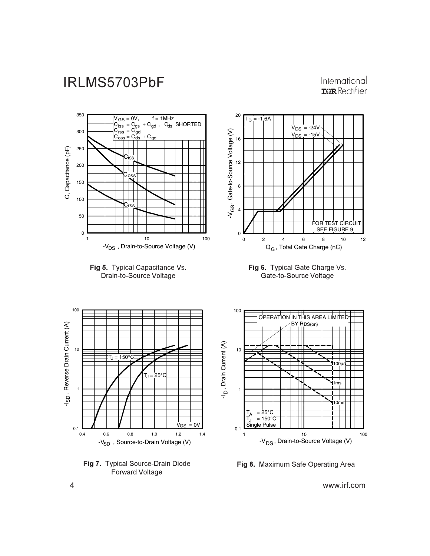International **IGR** Rectifier



Fig 8. Maximum Safe Operating Area

www.irf.com

4

Forward Voltage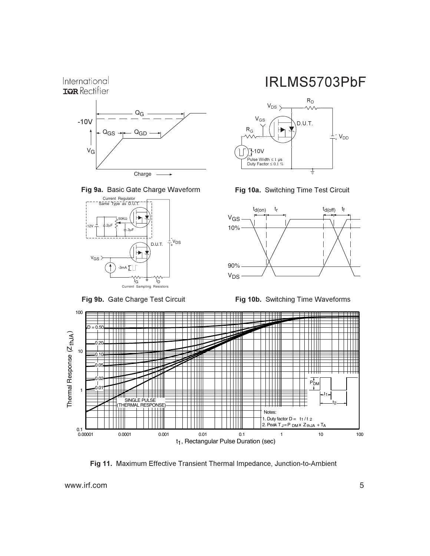







Fig 9b. Gate Charge Test Circuit







Fig 10b. Switching Time Waveforms



Fig 11. Maximum Effective Transient Thermal Impedance, Junction-to-Ambient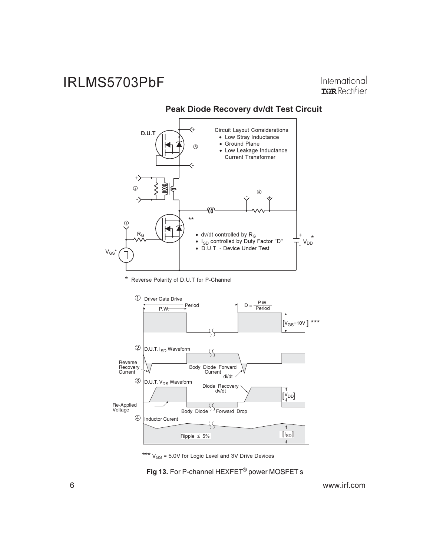International **IGR** Rectifier



Peak Diode Recovery dv/dt Test Circuit

\*\*\*  $V_{GS}$  = 5.0V for Logic Level and 3V Drive Devices

Fig 13. For P-channel HEXFET<sup>®</sup> power MOSFET s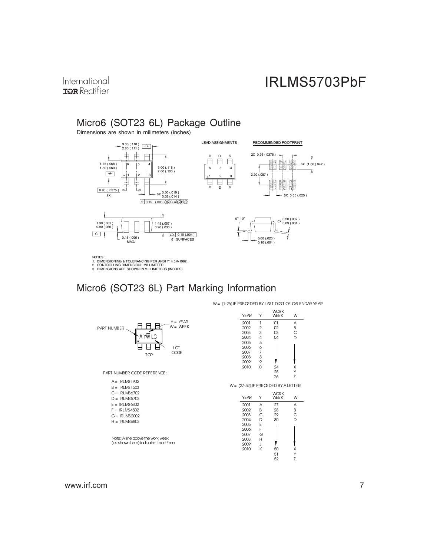International **TOR** Rectifier

### Micro6 (SOT23 6L) Package Outline

Dimensions are shown in milimeters (inches)



NOTES :<br>1. DIMENSIONING & TOLERANCING PER ANSI Y14.5M-1982.<br>2. CONTROLLING DIMENSION : MILLIMETER.<br>3. DIMENSIONS ARE SHOWN IN MILLIMETERS (INCHES).

### Micro6 (SOT23 6L) Part Marking Information



W = (1-26) IF PRECEDED BY LAST DIGIT OF CALENDAR YEAR